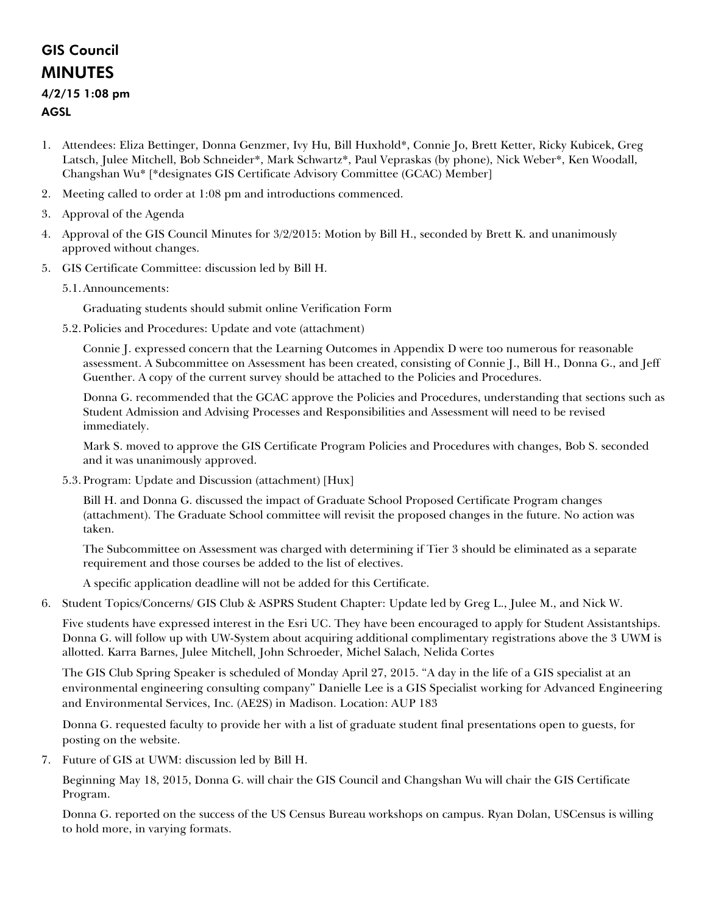## GIS Council MINUTES

## 4/2/15 1:08 pm AGSL

- 1. Attendees: Eliza Bettinger, Donna Genzmer, Ivy Hu, Bill Huxhold\*, Connie Jo, Brett Ketter, Ricky Kubicek, Greg Latsch, Julee Mitchell, Bob Schneider\*, Mark Schwartz\*, Paul Vepraskas (by phone), Nick Weber\*, Ken Woodall, Changshan Wu\* [\*designates GIS Certificate Advisory Committee (GCAC) Member]
- 2. Meeting called to order at 1:08 pm and introductions commenced.
- 3. Approval of the Agenda
- 4. Approval of the GIS Council Minutes for 3/2/2015: Motion by Bill H., seconded by Brett K. and unanimously approved without changes.
- 5. GIS Certificate Committee: discussion led by Bill H.
	- 5.1.Announcements:

Graduating students should submit online Verification Form

5.2.Policies and Procedures: Update and vote (attachment)

Connie J. expressed concern that the Learning Outcomes in Appendix D were too numerous for reasonable assessment. A Subcommittee on Assessment has been created, consisting of Connie J., Bill H., Donna G., and Jeff Guenther. A copy of the current survey should be attached to the Policies and Procedures.

Donna G. recommended that the GCAC approve the Policies and Procedures, understanding that sections such as Student Admission and Advising Processes and Responsibilities and Assessment will need to be revised immediately.

Mark S. moved to approve the GIS Certificate Program Policies and Procedures with changes, Bob S. seconded and it was unanimously approved.

5.3.Program: Update and Discussion (attachment) [Hux]

Bill H. and Donna G. discussed the impact of Graduate School Proposed Certificate Program changes (attachment). The Graduate School committee will revisit the proposed changes in the future. No action was taken.

The Subcommittee on Assessment was charged with determining if Tier 3 should be eliminated as a separate requirement and those courses be added to the list of electives.

A specific application deadline will not be added for this Certificate.

6. Student Topics/Concerns/ GIS Club & ASPRS Student Chapter: Update led by Greg L., Julee M., and Nick W.

Five students have expressed interest in the Esri UC. They have been encouraged to apply for Student Assistantships. Donna G. will follow up with UW-System about acquiring additional complimentary registrations above the 3 UWM is allotted. Karra Barnes, Julee Mitchell, John Schroeder, Michel Salach, Nelida Cortes

The GIS Club Spring Speaker is scheduled of Monday April 27, 2015. "A day in the life of a GIS specialist at an environmental engineering consulting company" Danielle Lee is a GIS Specialist working for Advanced Engineering and Environmental Services, Inc. (AE2S) in Madison. Location: AUP 183

Donna G. requested faculty to provide her with a list of graduate student final presentations open to guests, for posting on the website.

7. Future of GIS at UWM: discussion led by Bill H.

Beginning May 18, 2015, Donna G. will chair the GIS Council and Changshan Wu will chair the GIS Certificate Program.

Donna G. reported on the success of the US Census Bureau workshops on campus. Ryan Dolan, USCensus is willing to hold more, in varying formats.